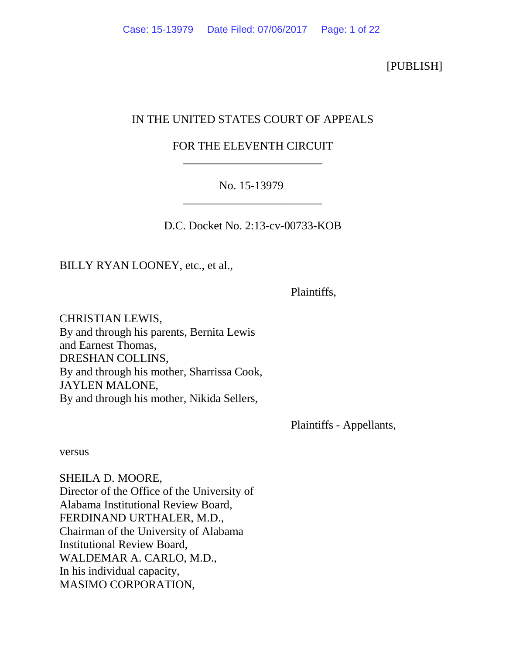[PUBLISH]

# IN THE UNITED STATES COURT OF APPEALS

# FOR THE ELEVENTH CIRCUIT \_\_\_\_\_\_\_\_\_\_\_\_\_\_\_\_\_\_\_\_\_\_\_\_

# No. 15-13979 \_\_\_\_\_\_\_\_\_\_\_\_\_\_\_\_\_\_\_\_\_\_\_\_

D.C. Docket No. 2:13-cv-00733-KOB

BILLY RYAN LOONEY, etc., et al.,

Plaintiffs,

CHRISTIAN LEWIS, By and through his parents, Bernita Lewis and Earnest Thomas, DRESHAN COLLINS, By and through his mother, Sharrissa Cook, JAYLEN MALONE, By and through his mother, Nikida Sellers,

Plaintiffs - Appellants,

versus

SHEILA D. MOORE, Director of the Office of the University of Alabama Institutional Review Board, FERDINAND URTHALER, M.D., Chairman of the University of Alabama Institutional Review Board, WALDEMAR A. CARLO, M.D., In his individual capacity, MASIMO CORPORATION,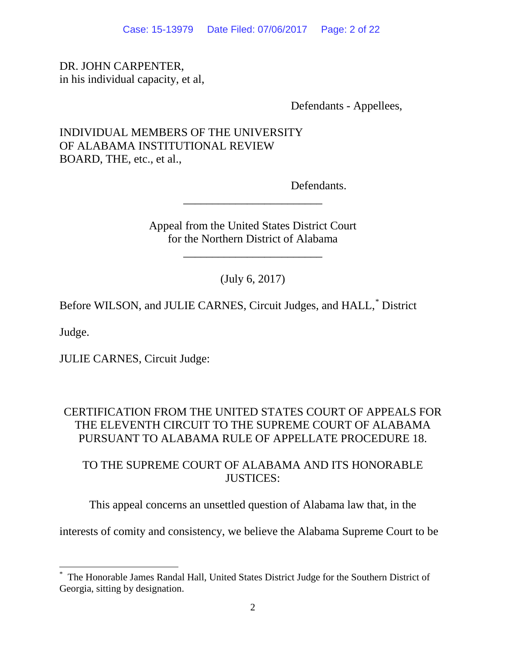Case: 15-13979 Date Filed: 07/06/2017 Page: 2 of 22

#### DR. JOHN CARPENTER, in his individual capacity, et al,

Defendants - Appellees,

## INDIVIDUAL MEMBERS OF THE UNIVERSITY OF ALABAMA INSTITUTIONAL REVIEW BOARD, THE, etc., et al.,

Defendants.

Appeal from the United States District Court for the Northern District of Alabama

\_\_\_\_\_\_\_\_\_\_\_\_\_\_\_\_\_\_\_\_\_\_\_\_

\_\_\_\_\_\_\_\_\_\_\_\_\_\_\_\_\_\_\_\_\_\_\_\_

(July 6, 2017)

Before WILSON, and JULIE CARNES, Circuit Judges, and HALL, [\\*](#page-1-0) District

Judge.

JULIE CARNES, Circuit Judge:

### CERTIFICATION FROM THE UNITED STATES COURT OF APPEALS FOR THE ELEVENTH CIRCUIT TO THE SUPREME COURT OF ALABAMA PURSUANT TO ALABAMA RULE OF APPELLATE PROCEDURE 18.

TO THE SUPREME COURT OF ALABAMA AND ITS HONORABLE JUSTICES<sup>.</sup>

This appeal concerns an unsettled question of Alabama law that, in the

interests of comity and consistency, we believe the Alabama Supreme Court to be

<span id="page-1-0"></span> <sup>\*</sup> The Honorable James Randal Hall, United States District Judge for the Southern District of Georgia, sitting by designation.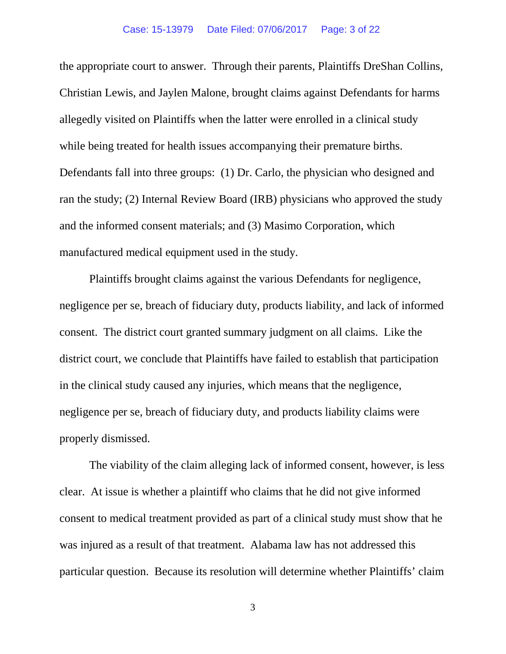the appropriate court to answer. Through their parents, Plaintiffs DreShan Collins, Christian Lewis, and Jaylen Malone, brought claims against Defendants for harms allegedly visited on Plaintiffs when the latter were enrolled in a clinical study while being treated for health issues accompanying their premature births. Defendants fall into three groups: (1) Dr. Carlo, the physician who designed and ran the study; (2) Internal Review Board (IRB) physicians who approved the study and the informed consent materials; and (3) Masimo Corporation, which manufactured medical equipment used in the study.

Plaintiffs brought claims against the various Defendants for negligence, negligence per se, breach of fiduciary duty, products liability, and lack of informed consent. The district court granted summary judgment on all claims. Like the district court, we conclude that Plaintiffs have failed to establish that participation in the clinical study caused any injuries, which means that the negligence, negligence per se, breach of fiduciary duty, and products liability claims were properly dismissed.

The viability of the claim alleging lack of informed consent, however, is less clear. At issue is whether a plaintiff who claims that he did not give informed consent to medical treatment provided as part of a clinical study must show that he was injured as a result of that treatment. Alabama law has not addressed this particular question. Because its resolution will determine whether Plaintiffs' claim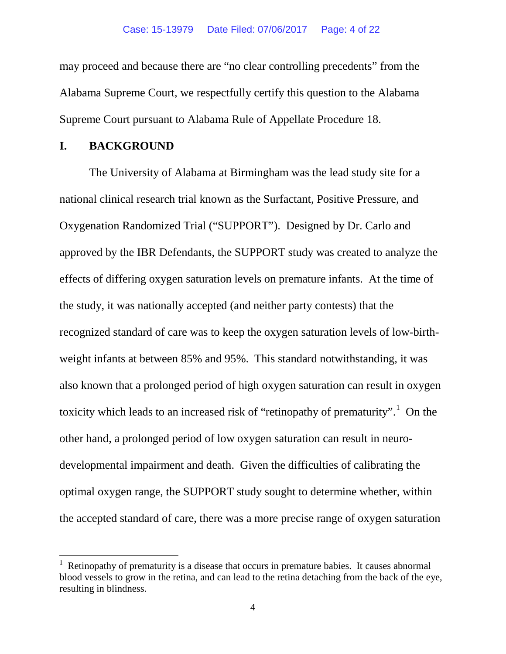may proceed and because there are "no clear controlling precedents" from the Alabama Supreme Court, we respectfully certify this question to the Alabama Supreme Court pursuant to Alabama Rule of Appellate Procedure 18.

#### **I. BACKGROUND**

The University of Alabama at Birmingham was the lead study site for a national clinical research trial known as the Surfactant, Positive Pressure, and Oxygenation Randomized Trial ("SUPPORT"). Designed by Dr. Carlo and approved by the IBR Defendants, the SUPPORT study was created to analyze the effects of differing oxygen saturation levels on premature infants. At the time of the study, it was nationally accepted (and neither party contests) that the recognized standard of care was to keep the oxygen saturation levels of low-birthweight infants at between 85% and 95%. This standard notwithstanding, it was also known that a prolonged period of high oxygen saturation can result in oxygen toxicity which leads to an increased risk of "retinopathy of prematurity".<sup>[1](#page-3-0)</sup> On the other hand, a prolonged period of low oxygen saturation can result in neurodevelopmental impairment and death. Given the difficulties of calibrating the optimal oxygen range, the SUPPORT study sought to determine whether, within the accepted standard of care, there was a more precise range of oxygen saturation

<span id="page-3-0"></span> <sup>1</sup> Retinopathy of prematurity is a disease that occurs in premature babies. It causes abnormal blood vessels to grow in the retina, and can lead to the retina detaching from the back of the eye, resulting in blindness.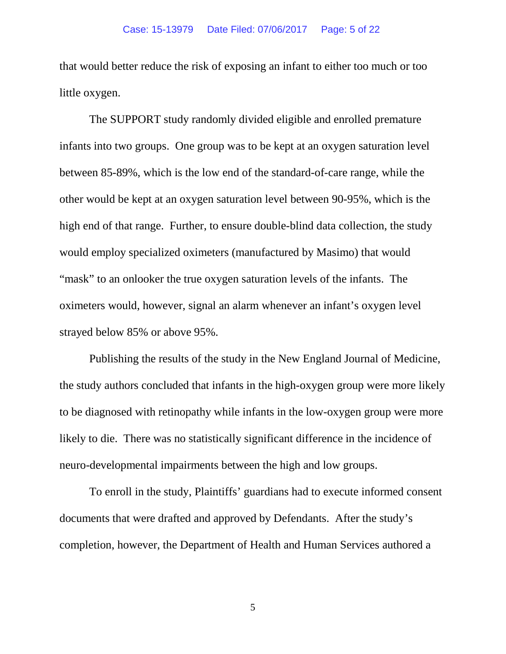that would better reduce the risk of exposing an infant to either too much or too little oxygen.

The SUPPORT study randomly divided eligible and enrolled premature infants into two groups. One group was to be kept at an oxygen saturation level between 85-89%, which is the low end of the standard-of-care range, while the other would be kept at an oxygen saturation level between 90-95%, which is the high end of that range. Further, to ensure double-blind data collection, the study would employ specialized oximeters (manufactured by Masimo) that would "mask" to an onlooker the true oxygen saturation levels of the infants. The oximeters would, however, signal an alarm whenever an infant's oxygen level strayed below 85% or above 95%.

Publishing the results of the study in the New England Journal of Medicine, the study authors concluded that infants in the high-oxygen group were more likely to be diagnosed with retinopathy while infants in the low-oxygen group were more likely to die. There was no statistically significant difference in the incidence of neuro-developmental impairments between the high and low groups.

To enroll in the study, Plaintiffs' guardians had to execute informed consent documents that were drafted and approved by Defendants. After the study's completion, however, the Department of Health and Human Services authored a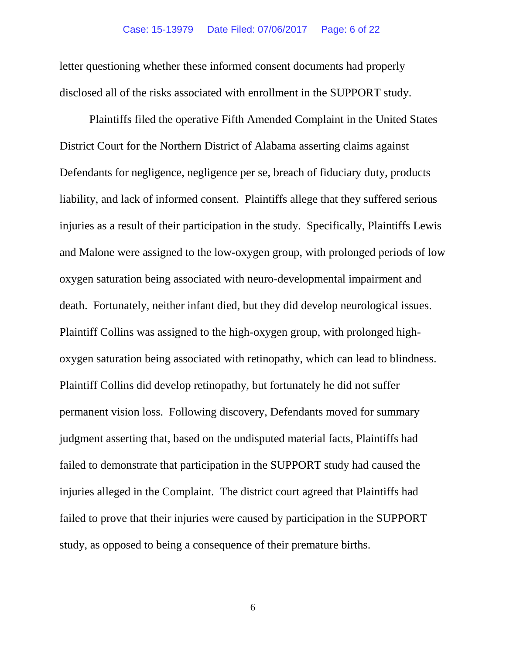letter questioning whether these informed consent documents had properly disclosed all of the risks associated with enrollment in the SUPPORT study.

Plaintiffs filed the operative Fifth Amended Complaint in the United States District Court for the Northern District of Alabama asserting claims against Defendants for negligence, negligence per se, breach of fiduciary duty, products liability, and lack of informed consent. Plaintiffs allege that they suffered serious injuries as a result of their participation in the study. Specifically, Plaintiffs Lewis and Malone were assigned to the low-oxygen group, with prolonged periods of low oxygen saturation being associated with neuro-developmental impairment and death. Fortunately, neither infant died, but they did develop neurological issues. Plaintiff Collins was assigned to the high-oxygen group, with prolonged highoxygen saturation being associated with retinopathy, which can lead to blindness. Plaintiff Collins did develop retinopathy, but fortunately he did not suffer permanent vision loss. Following discovery, Defendants moved for summary judgment asserting that, based on the undisputed material facts, Plaintiffs had failed to demonstrate that participation in the SUPPORT study had caused the injuries alleged in the Complaint. The district court agreed that Plaintiffs had failed to prove that their injuries were caused by participation in the SUPPORT study, as opposed to being a consequence of their premature births.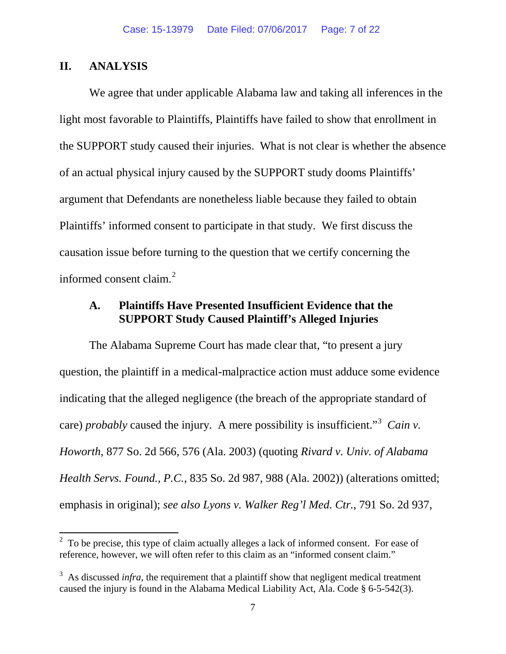#### **II. ANALYSIS**

We agree that under applicable Alabama law and taking all inferences in the light most favorable to Plaintiffs, Plaintiffs have failed to show that enrollment in the SUPPORT study caused their injuries. What is not clear is whether the absence of an actual physical injury caused by the SUPPORT study dooms Plaintiffs' argument that Defendants are nonetheless liable because they failed to obtain Plaintiffs' informed consent to participate in that study. We first discuss the causation issue before turning to the question that we certify concerning the informed consent claim. [2](#page-6-0)

### **A. Plaintiffs Have Presented Insufficient Evidence that the SUPPORT Study Caused Plaintiff's Alleged Injuries**

The Alabama Supreme Court has made clear that, "to present a jury question, the plaintiff in a medical-malpractice action must adduce some evidence indicating that the alleged negligence (the breach of the appropriate standard of care) *probably* caused the injury. A mere possibility is insufficient."<sup>[3](#page-6-1)</sup> Cain v. *Howorth*, 877 So. 2d 566, 576 (Ala. 2003) (quoting *Rivard v. Univ. of Alabama Health Servs. Found., P.C.*, 835 So. 2d 987, 988 (Ala. 2002)) (alterations omitted; emphasis in original); *see also Lyons v. Walker Reg'l Med. Ctr.*, 791 So. 2d 937,

<span id="page-6-0"></span> $2\degree$  To be precise, this type of claim actually alleges a lack of informed consent. For ease of reference, however, we will often refer to this claim as an "informed consent claim."

<span id="page-6-1"></span><sup>&</sup>lt;sup>3</sup> As discussed *infra*, the requirement that a plaintiff show that negligent medical treatment caused the injury is found in the Alabama Medical Liability Act, Ala. Code § 6-5-542(3).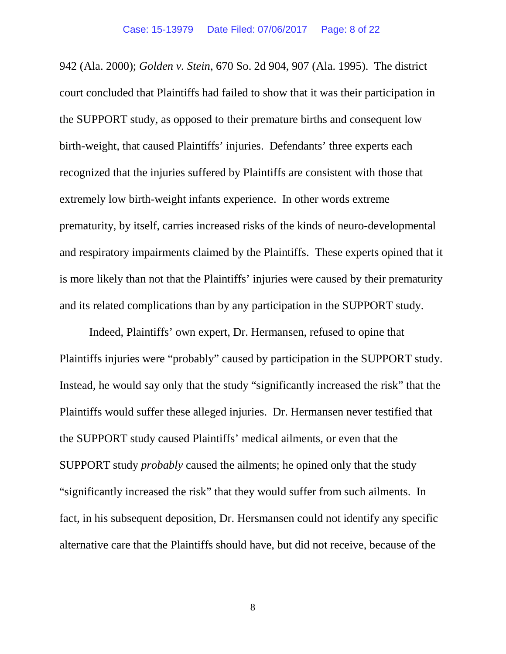942 (Ala. 2000); *Golden v. Stein*, 670 So. 2d 904, 907 (Ala. 1995). The district court concluded that Plaintiffs had failed to show that it was their participation in the SUPPORT study, as opposed to their premature births and consequent low birth-weight, that caused Plaintiffs' injuries. Defendants' three experts each recognized that the injuries suffered by Plaintiffs are consistent with those that extremely low birth-weight infants experience. In other words extreme prematurity, by itself, carries increased risks of the kinds of neuro-developmental and respiratory impairments claimed by the Plaintiffs. These experts opined that it is more likely than not that the Plaintiffs' injuries were caused by their prematurity and its related complications than by any participation in the SUPPORT study.

Indeed, Plaintiffs' own expert, Dr. Hermansen, refused to opine that Plaintiffs injuries were "probably" caused by participation in the SUPPORT study. Instead, he would say only that the study "significantly increased the risk" that the Plaintiffs would suffer these alleged injuries. Dr. Hermansen never testified that the SUPPORT study caused Plaintiffs' medical ailments, or even that the SUPPORT study *probably* caused the ailments; he opined only that the study "significantly increased the risk" that they would suffer from such ailments. In fact, in his subsequent deposition, Dr. Hersmansen could not identify any specific alternative care that the Plaintiffs should have, but did not receive, because of the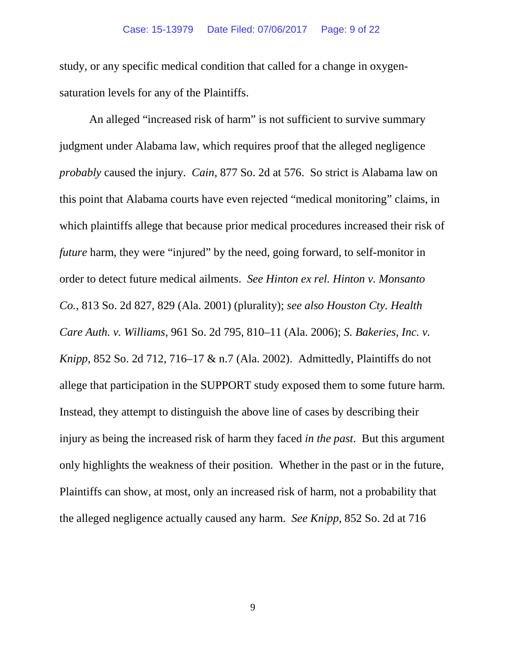study, or any specific medical condition that called for a change in oxygensaturation levels for any of the Plaintiffs.

An alleged "increased risk of harm" is not sufficient to survive summary judgment under Alabama law, which requires proof that the alleged negligence *probably* caused the injury. *Cain*, 877 So. 2d at 576. So strict is Alabama law on this point that Alabama courts have even rejected "medical monitoring" claims, in which plaintiffs allege that because prior medical procedures increased their risk of *future* harm, they were "injured" by the need, going forward, to self-monitor in order to detect future medical ailments. *See Hinton ex rel. Hinton v. Monsanto Co.*, 813 So. 2d 827, 829 (Ala. 2001) (plurality); *see also Houston Cty. Health Care Auth. v. Williams*, 961 So. 2d 795, 810–11 (Ala. 2006); *S. Bakeries, Inc. v. Knipp*, 852 So. 2d 712, 716–17 & n.7 (Ala. 2002). Admittedly, Plaintiffs do not allege that participation in the SUPPORT study exposed them to some future harm. Instead, they attempt to distinguish the above line of cases by describing their injury as being the increased risk of harm they faced *in the past*. But this argument only highlights the weakness of their position. Whether in the past or in the future, Plaintiffs can show, at most, only an increased risk of harm, not a probability that the alleged negligence actually caused any harm. *See Knipp*, 852 So. 2d at 716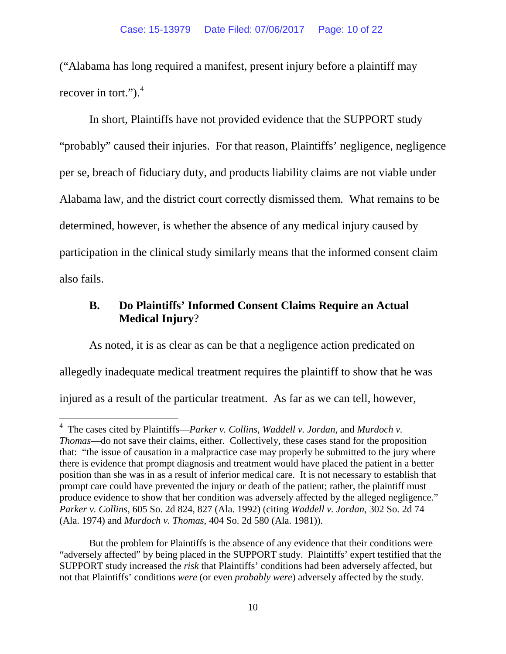("Alabama has long required a manifest, present injury before a plaintiff may recover in tort." $)$ .<sup>[4](#page-9-0)</sup>

In short, Plaintiffs have not provided evidence that the SUPPORT study "probably" caused their injuries. For that reason, Plaintiffs' negligence, negligence per se, breach of fiduciary duty, and products liability claims are not viable under Alabama law, and the district court correctly dismissed them. What remains to be determined, however, is whether the absence of any medical injury caused by participation in the clinical study similarly means that the informed consent claim also fails.

## **B. Do Plaintiffs' Informed Consent Claims Require an Actual Medical Injury**?

As noted, it is as clear as can be that a negligence action predicated on allegedly inadequate medical treatment requires the plaintiff to show that he was injured as a result of the particular treatment. As far as we can tell, however,

<span id="page-9-0"></span> <sup>4</sup> The cases cited by Plaintiffs—*Parker v. Collins*, *Waddell v. Jordan*, and *Murdoch v. Thomas*—do not save their claims, either. Collectively, these cases stand for the proposition that: "the issue of causation in a malpractice case may properly be submitted to the jury where there is evidence that prompt diagnosis and treatment would have placed the patient in a better position than she was in as a result of inferior medical care. It is not necessary to establish that prompt care could have prevented the injury or death of the patient; rather, the plaintiff must produce evidence to show that her condition was adversely affected by the alleged negligence." *Parker v. Collins*, 605 So. 2d 824, 827 (Ala. 1992) (citing *Waddell v. Jordan*, 302 So. 2d 74 (Ala. 1974) and *Murdoch v. Thomas*, 404 So. 2d 580 (Ala. 1981)).

But the problem for Plaintiffs is the absence of any evidence that their conditions were "adversely affected" by being placed in the SUPPORT study. Plaintiffs' expert testified that the SUPPORT study increased the *risk* that Plaintiffs' conditions had been adversely affected, but not that Plaintiffs' conditions *were* (or even *probably were*) adversely affected by the study.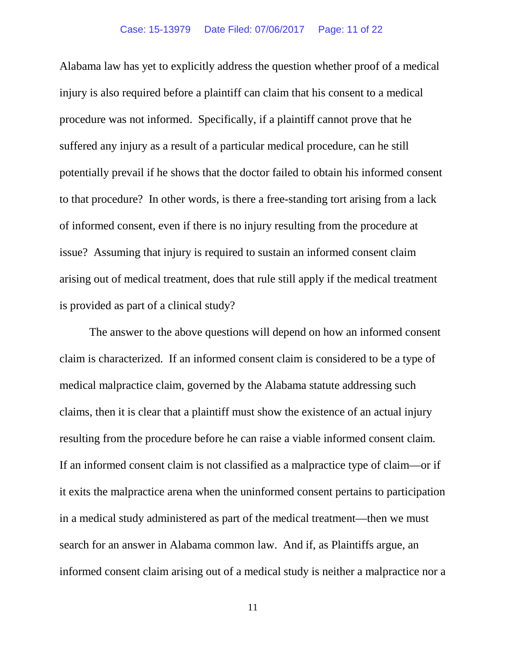Alabama law has yet to explicitly address the question whether proof of a medical injury is also required before a plaintiff can claim that his consent to a medical procedure was not informed. Specifically, if a plaintiff cannot prove that he suffered any injury as a result of a particular medical procedure, can he still potentially prevail if he shows that the doctor failed to obtain his informed consent to that procedure? In other words, is there a free-standing tort arising from a lack of informed consent, even if there is no injury resulting from the procedure at issue? Assuming that injury is required to sustain an informed consent claim arising out of medical treatment, does that rule still apply if the medical treatment is provided as part of a clinical study?

The answer to the above questions will depend on how an informed consent claim is characterized. If an informed consent claim is considered to be a type of medical malpractice claim, governed by the Alabama statute addressing such claims, then it is clear that a plaintiff must show the existence of an actual injury resulting from the procedure before he can raise a viable informed consent claim. If an informed consent claim is not classified as a malpractice type of claim—or if it exits the malpractice arena when the uninformed consent pertains to participation in a medical study administered as part of the medical treatment—then we must search for an answer in Alabama common law. And if, as Plaintiffs argue, an informed consent claim arising out of a medical study is neither a malpractice nor a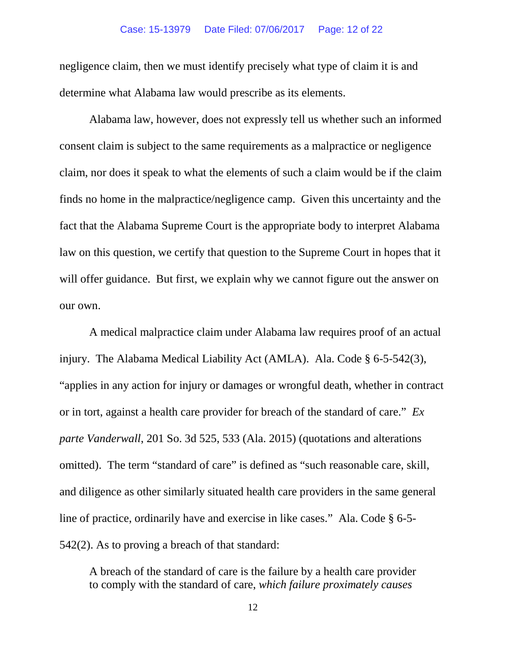#### Case: 15-13979 Date Filed: 07/06/2017 Page: 12 of 22

negligence claim, then we must identify precisely what type of claim it is and determine what Alabama law would prescribe as its elements.

Alabama law, however, does not expressly tell us whether such an informed consent claim is subject to the same requirements as a malpractice or negligence claim, nor does it speak to what the elements of such a claim would be if the claim finds no home in the malpractice/negligence camp. Given this uncertainty and the fact that the Alabama Supreme Court is the appropriate body to interpret Alabama law on this question, we certify that question to the Supreme Court in hopes that it will offer guidance. But first, we explain why we cannot figure out the answer on our own.

A medical malpractice claim under Alabama law requires proof of an actual injury. The Alabama Medical Liability Act (AMLA). Ala. Code § 6-5-542(3), "applies in any action for injury or damages or wrongful death, whether in contract or in tort, against a health care provider for breach of the standard of care." *Ex parte Vanderwall*, 201 So. 3d 525, 533 (Ala. 2015) (quotations and alterations omitted). The term "standard of care" is defined as "such reasonable care, skill, and diligence as other similarly situated health care providers in the same general line of practice, ordinarily have and exercise in like cases." Ala. Code § 6-5- 542(2). As to proving a breach of that standard:

A breach of the standard of care is the failure by a health care provider to comply with the standard of care, *which failure proximately causes*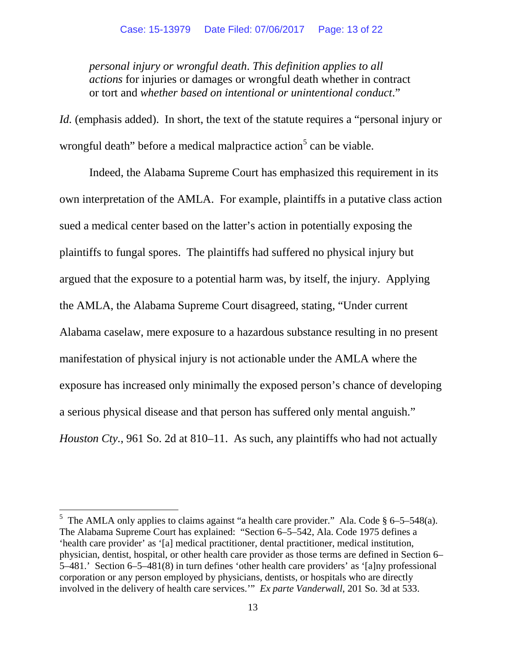*personal injury or wrongful death*. *This definition applies to all actions* for injuries or damages or wrongful death whether in contract or tort and *whether based on intentional or unintentional conduct*."

*Id.* (emphasis added). In short, the text of the statute requires a "personal injury or wrongful death" before a medical malpractice action $<sup>5</sup>$  $<sup>5</sup>$  $<sup>5</sup>$  can be viable.</sup>

Indeed, the Alabama Supreme Court has emphasized this requirement in its own interpretation of the AMLA. For example, plaintiffs in a putative class action sued a medical center based on the latter's action in potentially exposing the plaintiffs to fungal spores. The plaintiffs had suffered no physical injury but argued that the exposure to a potential harm was, by itself, the injury. Applying the AMLA, the Alabama Supreme Court disagreed, stating, "Under current Alabama caselaw, mere exposure to a hazardous substance resulting in no present manifestation of physical injury is not actionable under the AMLA where the exposure has increased only minimally the exposed person's chance of developing a serious physical disease and that person has suffered only mental anguish." *Houston Cty.*, 961 So. 2d at 810–11. As such, any plaintiffs who had not actually

<span id="page-12-0"></span><sup>&</sup>lt;sup>5</sup> The AMLA only applies to claims against "a health care provider." Ala. Code § 6–5–548(a). The Alabama Supreme Court has explained: "Section 6–5–542, Ala. Code 1975 defines a 'health care provider' as '[a] medical practitioner, dental practitioner, medical institution, physician, dentist, hospital, or other health care provider as those terms are defined in Section 6– 5–481.' Section 6–5–481(8) in turn defines 'other health care providers' as '[a]ny professional corporation or any person employed by physicians, dentists, or hospitals who are directly involved in the delivery of health care services.'" *Ex parte Vanderwall*, 201 So. 3d at 533.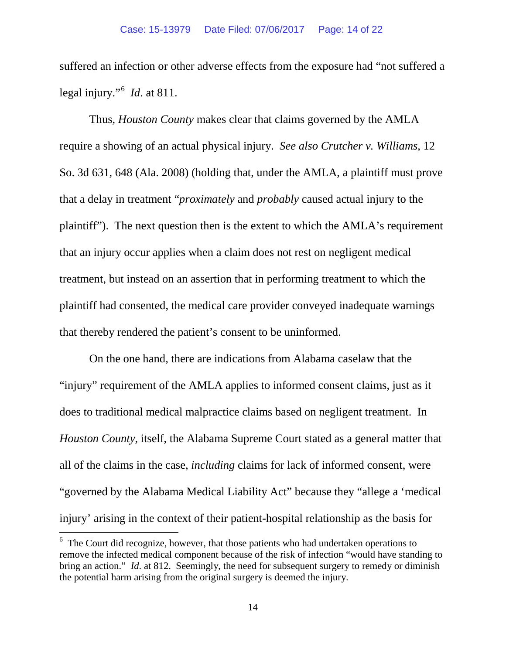suffered an infection or other adverse effects from the exposure had "not suffered a legal injury."[6](#page-13-0) *Id*. at 811.

Thus, *Houston County* makes clear that claims governed by the AMLA require a showing of an actual physical injury. *See also Crutcher v. Williams*, 12 So. 3d 631, 648 (Ala. 2008) (holding that, under the AMLA, a plaintiff must prove that a delay in treatment "*proximately* and *probably* caused actual injury to the plaintiff"). The next question then is the extent to which the AMLA's requirement that an injury occur applies when a claim does not rest on negligent medical treatment, but instead on an assertion that in performing treatment to which the plaintiff had consented, the medical care provider conveyed inadequate warnings that thereby rendered the patient's consent to be uninformed.

On the one hand, there are indications from Alabama caselaw that the "injury" requirement of the AMLA applies to informed consent claims, just as it does to traditional medical malpractice claims based on negligent treatment. In *Houston County*, itself, the Alabama Supreme Court stated as a general matter that all of the claims in the case, *including* claims for lack of informed consent, were "governed by the Alabama Medical Liability Act" because they "allege a 'medical injury' arising in the context of their patient-hospital relationship as the basis for

<span id="page-13-0"></span><sup>&</sup>lt;sup>6</sup> The Court did recognize, however, that those patients who had undertaken operations to remove the infected medical component because of the risk of infection "would have standing to bring an action." *Id*. at 812. Seemingly, the need for subsequent surgery to remedy or diminish the potential harm arising from the original surgery is deemed the injury.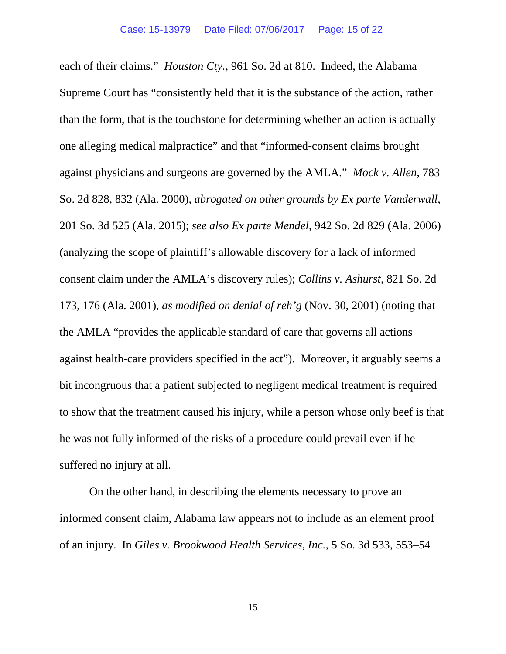each of their claims." *Houston Cty.*, 961 So. 2d at 810. Indeed, the Alabama Supreme Court has "consistently held that it is the substance of the action, rather than the form, that is the touchstone for determining whether an action is actually one alleging medical malpractice" and that "informed-consent claims brought against physicians and surgeons are governed by the AMLA." *Mock v. Allen*, 783 So. 2d 828, 832 (Ala. 2000), *abrogated on other grounds by Ex parte Vanderwall*, 201 So. 3d 525 (Ala. 2015); *see also Ex parte Mendel*, 942 So. 2d 829 (Ala. 2006) (analyzing the scope of plaintiff's allowable discovery for a lack of informed consent claim under the AMLA's discovery rules); *Collins v. Ashurst*, 821 So. 2d 173, 176 (Ala. 2001), *as modified on denial of reh'g* (Nov. 30, 2001) (noting that the AMLA "provides the applicable standard of care that governs all actions against health-care providers specified in the act"). Moreover, it arguably seems a bit incongruous that a patient subjected to negligent medical treatment is required to show that the treatment caused his injury, while a person whose only beef is that he was not fully informed of the risks of a procedure could prevail even if he suffered no injury at all.

On the other hand, in describing the elements necessary to prove an informed consent claim, Alabama law appears not to include as an element proof of an injury. In *Giles v. Brookwood Health Services, Inc.*, 5 So. 3d 533, 553–54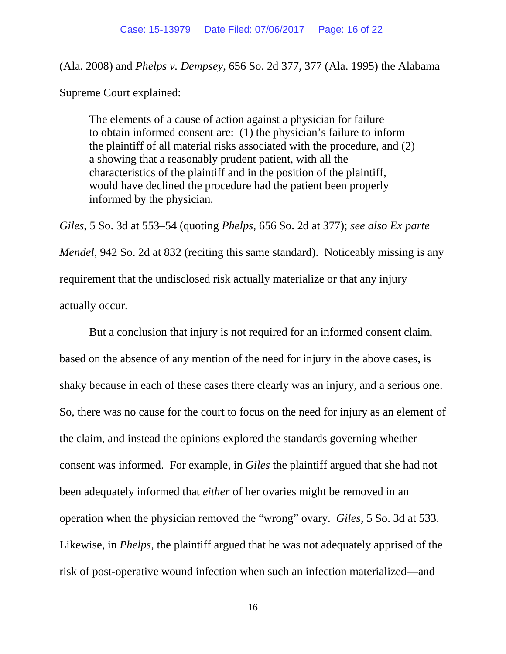(Ala. 2008) and *Phelps v. Dempsey*, 656 So. 2d 377, 377 (Ala. 1995) the Alabama

Supreme Court explained:

The elements of a cause of action against a physician for failure to obtain informed consent are: (1) the physician's failure to inform the plaintiff of all material risks associated with the procedure, and (2) a showing that a reasonably prudent patient, with all the characteristics of the plaintiff and in the position of the plaintiff, would have declined the procedure had the patient been properly informed by the physician.

*Giles*, 5 So. 3d at 553–54 (quoting *Phelps*, 656 So. 2d at 377); *see also Ex parte Mendel*, 942 So. 2d at 832 (reciting this same standard). Noticeably missing is any requirement that the undisclosed risk actually materialize or that any injury actually occur.

But a conclusion that injury is not required for an informed consent claim, based on the absence of any mention of the need for injury in the above cases, is shaky because in each of these cases there clearly was an injury, and a serious one. So, there was no cause for the court to focus on the need for injury as an element of the claim, and instead the opinions explored the standards governing whether consent was informed. For example, in *Giles* the plaintiff argued that she had not been adequately informed that *either* of her ovaries might be removed in an operation when the physician removed the "wrong" ovary. *Giles*, 5 So. 3d at 533. Likewise, in *Phelps*, the plaintiff argued that he was not adequately apprised of the risk of post-operative wound infection when such an infection materialized—and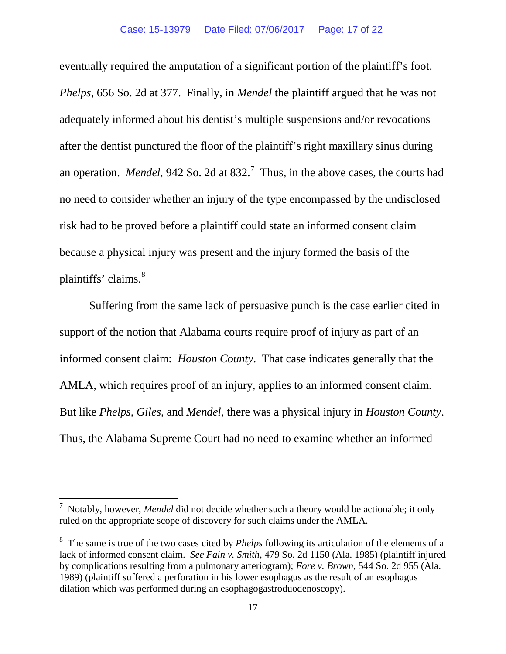eventually required the amputation of a significant portion of the plaintiff's foot. *Phelps*, 656 So. 2d at 377. Finally, in *Mendel* the plaintiff argued that he was not adequately informed about his dentist's multiple suspensions and/or revocations after the dentist punctured the floor of the plaintiff's right maxillary sinus during an operation. *Mendel*, 942 So. 2d at 832. [7](#page-16-0) Thus, in the above cases, the courts had no need to consider whether an injury of the type encompassed by the undisclosed risk had to be proved before a plaintiff could state an informed consent claim because a physical injury was present and the injury formed the basis of the plaintiffs' claims.<sup>[8](#page-16-1)</sup>

Suffering from the same lack of persuasive punch is the case earlier cited in support of the notion that Alabama courts require proof of injury as part of an informed consent claim: *Houston County*. That case indicates generally that the AMLA, which requires proof of an injury, applies to an informed consent claim. But like *Phelps*, *Giles*, and *Mendel*, there was a physical injury in *Houston County*. Thus, the Alabama Supreme Court had no need to examine whether an informed

<span id="page-16-0"></span><sup>&</sup>lt;sup>7</sup> Notably, however, *Mendel* did not decide whether such a theory would be actionable; it only ruled on the appropriate scope of discovery for such claims under the AMLA.

<span id="page-16-1"></span><sup>8</sup> The same is true of the two cases cited by *Phelps* following its articulation of the elements of a lack of informed consent claim. *See Fain v. Smith*, 479 So. 2d 1150 (Ala. 1985) (plaintiff injured by complications resulting from a pulmonary arteriogram); *Fore v. Brown*, 544 So. 2d 955 (Ala. 1989) (plaintiff suffered a perforation in his lower esophagus as the result of an esophagus dilation which was performed during an esophagogastroduodenoscopy).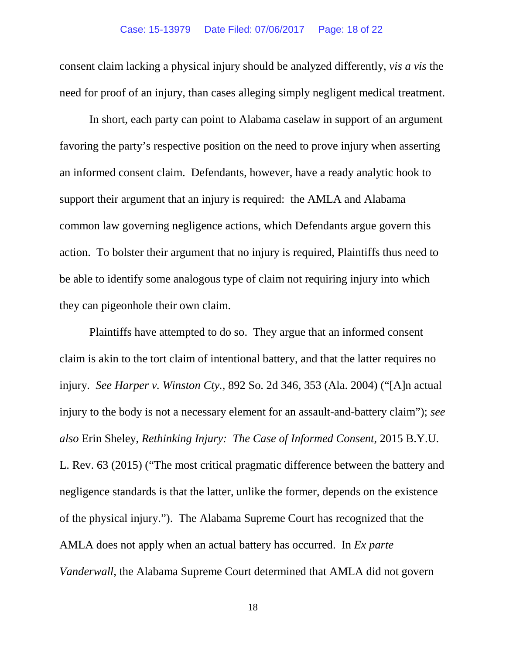consent claim lacking a physical injury should be analyzed differently, *vis a vis* the need for proof of an injury, than cases alleging simply negligent medical treatment.

In short, each party can point to Alabama caselaw in support of an argument favoring the party's respective position on the need to prove injury when asserting an informed consent claim. Defendants, however, have a ready analytic hook to support their argument that an injury is required: the AMLA and Alabama common law governing negligence actions, which Defendants argue govern this action. To bolster their argument that no injury is required, Plaintiffs thus need to be able to identify some analogous type of claim not requiring injury into which they can pigeonhole their own claim.

Plaintiffs have attempted to do so. They argue that an informed consent claim is akin to the tort claim of intentional battery, and that the latter requires no injury. *See Harper v. Winston Cty.*, 892 So. 2d 346, 353 (Ala. 2004) ("[A]n actual injury to the body is not a necessary element for an assault-and-battery claim"); *see also* Erin Sheley, *Rethinking Injury: The Case of Informed Consent*, 2015 B.Y.U. L. Rev. 63 (2015) ("The most critical pragmatic difference between the battery and negligence standards is that the latter, unlike the former, depends on the existence of the physical injury."). The Alabama Supreme Court has recognized that the AMLA does not apply when an actual battery has occurred. In *Ex parte Vanderwall*, the Alabama Supreme Court determined that AMLA did not govern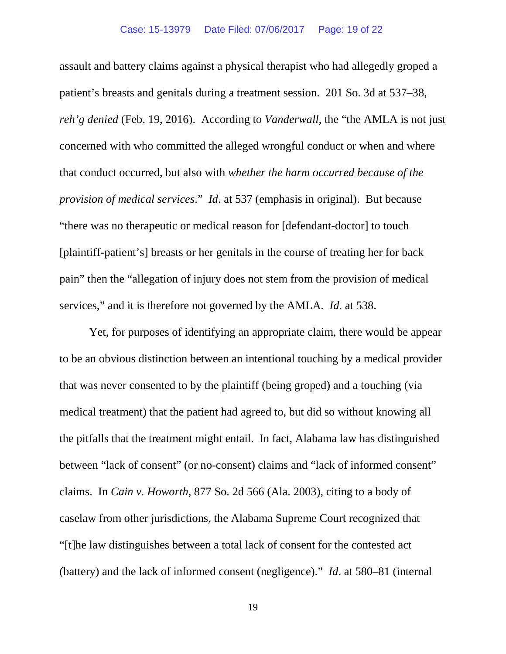assault and battery claims against a physical therapist who had allegedly groped a patient's breasts and genitals during a treatment session. 201 So. 3d at 537–38, *reh'g denied* (Feb. 19, 2016). According to *Vanderwall*, the "the AMLA is not just concerned with who committed the alleged wrongful conduct or when and where that conduct occurred, but also with *whether the harm occurred because of the provision of medical services*." *Id*. at 537 (emphasis in original). But because "there was no therapeutic or medical reason for [defendant-doctor] to touch [plaintiff-patient's] breasts or her genitals in the course of treating her for back pain" then the "allegation of injury does not stem from the provision of medical services," and it is therefore not governed by the AMLA. *Id*. at 538.

Yet, for purposes of identifying an appropriate claim, there would be appear to be an obvious distinction between an intentional touching by a medical provider that was never consented to by the plaintiff (being groped) and a touching (via medical treatment) that the patient had agreed to, but did so without knowing all the pitfalls that the treatment might entail. In fact, Alabama law has distinguished between "lack of consent" (or no-consent) claims and "lack of informed consent" claims. In *Cain v. Howorth*, 877 So. 2d 566 (Ala. 2003), citing to a body of caselaw from other jurisdictions, the Alabama Supreme Court recognized that "[t]he law distinguishes between a total lack of consent for the contested act (battery) and the lack of informed consent (negligence)." *Id*. at 580–81 (internal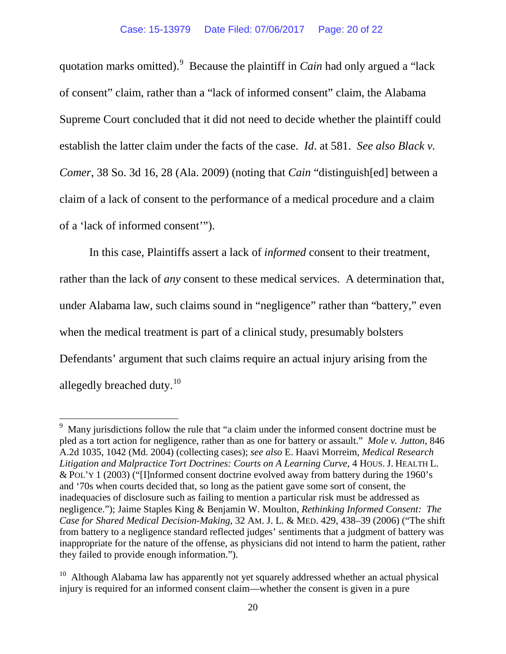quotation marks omitted).<sup>[9](#page-19-0)</sup> Because the plaintiff in *Cain* had only argued a "lack of consent" claim, rather than a "lack of informed consent" claim, the Alabama Supreme Court concluded that it did not need to decide whether the plaintiff could establish the latter claim under the facts of the case. *Id*. at 581. *See also Black v. Comer*, 38 So. 3d 16, 28 (Ala. 2009) (noting that *Cain* "distinguish[ed] between a claim of a lack of consent to the performance of a medical procedure and a claim of a 'lack of informed consent'").

In this case, Plaintiffs assert a lack of *informed* consent to their treatment, rather than the lack of *any* consent to these medical services. A determination that, under Alabama law, such claims sound in "negligence" rather than "battery," even when the medical treatment is part of a clinical study, presumably bolsters Defendants' argument that such claims require an actual injury arising from the allegedly breached duty. $10$ 

<span id="page-19-0"></span><sup>&</sup>lt;sup>9</sup> Many jurisdictions follow the rule that "a claim under the informed consent doctrine must be pled as a tort action for negligence, rather than as one for battery or assault." *Mole v. Jutton*, 846 A.2d 1035, 1042 (Md. 2004) (collecting cases); *see also* E. Haavi Morreim, *Medical Research Litigation and Malpractice Tort Doctrines: Courts on A Learning Curve*, 4 HOUS. J. HEALTH L. & POL'Y 1 (2003) ("[I]nformed consent doctrine evolved away from battery during the 1960's and '70s when courts decided that, so long as the patient gave some sort of consent, the inadequacies of disclosure such as failing to mention a particular risk must be addressed as negligence."); Jaime Staples King & Benjamin W. Moulton, *Rethinking Informed Consent: The Case for Shared Medical Decision-Making*, 32 AM. J. L. & MED. 429, 438–39 (2006) ("The shift from battery to a negligence standard reflected judges' sentiments that a judgment of battery was inappropriate for the nature of the offense, as physicians did not intend to harm the patient, rather they failed to provide enough information.").

<span id="page-19-1"></span><sup>&</sup>lt;sup>10</sup> Although Alabama law has apparently not yet squarely addressed whether an actual physical injury is required for an informed consent claim—whether the consent is given in a pure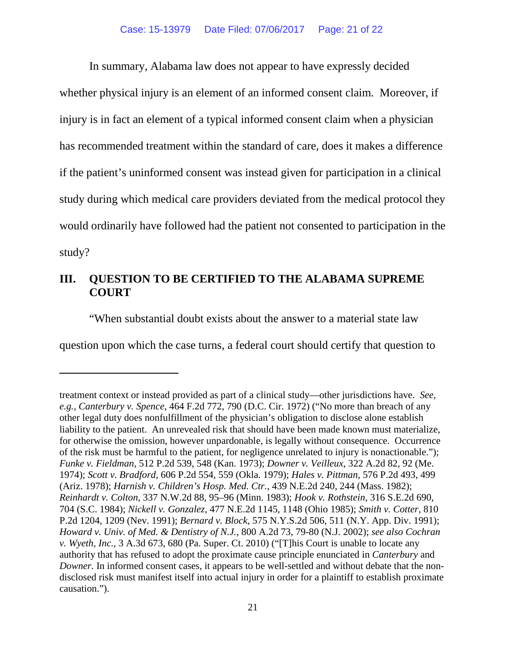In summary, Alabama law does not appear to have expressly decided

whether physical injury is an element of an informed consent claim. Moreover, if injury is in fact an element of a typical informed consent claim when a physician has recommended treatment within the standard of care, does it makes a difference if the patient's uninformed consent was instead given for participation in a clinical study during which medical care providers deviated from the medical protocol they would ordinarily have followed had the patient not consented to participation in the study?

# **III. QUESTION TO BE CERTIFIED TO THE ALABAMA SUPREME COURT**

"When substantial doubt exists about the answer to a material state law

question upon which the case turns, a federal court should certify that question to

 $\overline{a}$ 

treatment context or instead provided as part of a clinical study—other jurisdictions have. *See, e.g., Canterbury v. Spence*, 464 F.2d 772, 790 (D.C. Cir. 1972) ("No more than breach of any other legal duty does nonfulfillment of the physician's obligation to disclose alone establish liability to the patient. An unrevealed risk that should have been made known must materialize, for otherwise the omission, however unpardonable, is legally without consequence. Occurrence of the risk must be harmful to the patient, for negligence unrelated to injury is nonactionable."); *Funke v. Fieldman*, 512 P.2d 539, 548 (Kan. 1973); *Downer v. Veilleux*, 322 A.2d 82, 92 (Me. 1974); *Scott v. Bradford*, 606 P.2d 554, 559 (Okla. 1979); *Hales v. Pittman*, 576 P.2d 493, 499 (Ariz. 1978); *Harnish v. Children's Hosp. Med. Ctr.*, 439 N.E.2d 240, 244 (Mass. 1982); *Reinhardt v. Colton*, 337 N.W.2d 88, 95–96 (Minn. 1983); *Hook v. Rothstein*, 316 S.E.2d 690, 704 (S.C. 1984); *Nickell v. Gonzalez*, 477 N.E.2d 1145, 1148 (Ohio 1985); *Smith v. Cotter*, 810 P.2d 1204, 1209 (Nev. 1991); *Bernard v. Block*, 575 N.Y.S.2d 506, 511 (N.Y. App. Div. 1991); *Howard v. Univ. of Med. & Dentistry of N.J.,* 800 A.2d 73, 79-80 (N.J. 2002); *see also Cochran v. Wyeth, Inc.*, 3 A.3d 673, 680 (Pa. Super. Ct. 2010) ("[T]his Court is unable to locate any authority that has refused to adopt the proximate cause principle enunciated in *Canterbury* and *Downer.* In informed consent cases, it appears to be well-settled and without debate that the nondisclosed risk must manifest itself into actual injury in order for a plaintiff to establish proximate causation.").